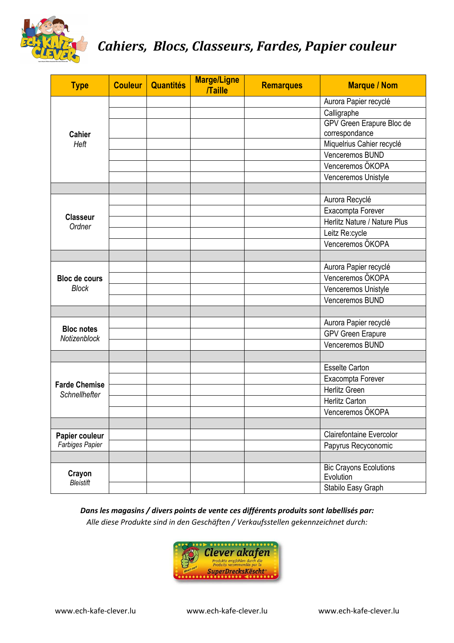

## *Cahiers, Blocs, Classeurs, Fardes, Papier couleur*

| <b>Type</b>                           | <b>Couleur</b> | <b>Quantités</b> | <b>Marge/Ligne</b><br><b>Taille</b> | <b>Remarques</b> | <b>Marque / Nom</b>                        |
|---------------------------------------|----------------|------------------|-------------------------------------|------------------|--------------------------------------------|
|                                       |                |                  |                                     |                  | Aurora Papier recyclé                      |
|                                       |                |                  |                                     |                  | Calligraphe                                |
|                                       |                |                  |                                     |                  | GPV Green Erapure Bloc de                  |
| <b>Cahier</b>                         |                |                  |                                     |                  | correspondance                             |
| Heft                                  |                |                  |                                     |                  | Miquelrius Cahier recyclé                  |
|                                       |                |                  |                                     |                  | Venceremos BUND                            |
|                                       |                |                  |                                     |                  | Venceremos ÖKOPA                           |
|                                       |                |                  |                                     |                  | Venceremos Unistyle                        |
|                                       |                |                  |                                     |                  |                                            |
|                                       |                |                  |                                     |                  | Aurora Recyclé                             |
| <b>Classeur</b>                       |                |                  |                                     |                  | Exacompta Forever                          |
| Ordner                                |                |                  |                                     |                  | Herlitz Nature / Nature Plus               |
|                                       |                |                  |                                     |                  | Leitz Re:cycle                             |
|                                       |                |                  |                                     |                  | Venceremos ÖKOPA                           |
|                                       |                |                  |                                     |                  |                                            |
|                                       |                |                  |                                     |                  | Aurora Papier recyclé                      |
| <b>Bloc de cours</b>                  |                |                  |                                     |                  | Venceremos ÖKOPA                           |
| <b>Block</b>                          |                |                  |                                     |                  | Venceremos Unistyle                        |
|                                       |                |                  |                                     |                  | Venceremos BUND                            |
|                                       |                |                  |                                     |                  |                                            |
|                                       |                |                  |                                     |                  | Aurora Papier recyclé                      |
| <b>Bloc notes</b><br>Notizenblock     |                |                  |                                     |                  | <b>GPV Green Erapure</b>                   |
|                                       |                |                  |                                     |                  | Venceremos BUND                            |
|                                       |                |                  |                                     |                  |                                            |
| <b>Farde Chemise</b><br>Schnellhefter |                |                  |                                     |                  | <b>Esselte Carton</b>                      |
|                                       |                |                  |                                     |                  | Exacompta Forever                          |
|                                       |                |                  |                                     |                  | Herlitz Green                              |
|                                       |                |                  |                                     |                  | <b>Herlitz Carton</b>                      |
|                                       |                |                  |                                     |                  | Venceremos ÖKOPA                           |
|                                       |                |                  |                                     |                  |                                            |
| Papier couleur<br>Farbiges Papier     |                |                  |                                     |                  | <b>Clairefontaine Evercolor</b>            |
|                                       |                |                  |                                     |                  | Papyrus Recyconomic                        |
|                                       |                |                  |                                     |                  |                                            |
| Crayon<br><b>Bleistift</b>            |                |                  |                                     |                  | <b>Bic Crayons Ecolutions</b><br>Evolution |
|                                       |                |                  |                                     |                  | Stabilo Easy Graph                         |

*Dans les magasins / divers points de vente ces différents produits sont labellisés par: Alle diese Produkte sind in den Geschäften / Verkaufsstellen gekennzeichnet durch:* 

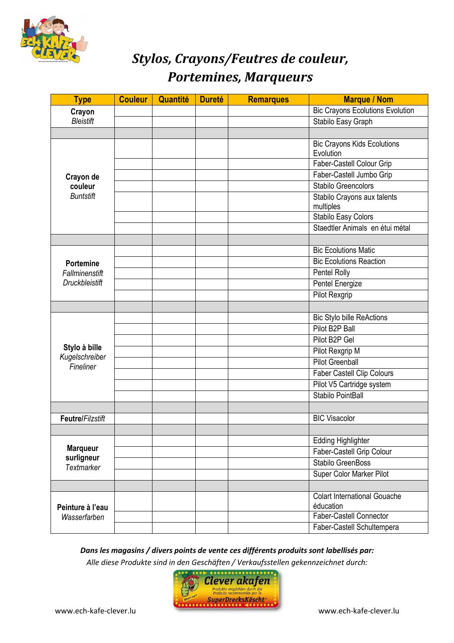

# *Stylos, Crayons/Feutres de couleur, Portemines, Marqueurs*

| <b>Type</b>                      | <b>Couleur</b> | Quantité | <b>Dureté</b> | <b>Remarques</b> | <b>Marque / Nom</b>                              |
|----------------------------------|----------------|----------|---------------|------------------|--------------------------------------------------|
| Crayon<br><b>Bleistift</b>       |                |          |               |                  | <b>Bic Crayons Ecolutions Evolution</b>          |
|                                  |                |          |               |                  | Stabilo Easy Graph                               |
|                                  |                |          |               |                  |                                                  |
|                                  |                |          |               |                  | <b>Bic Crayons Kids Ecolutions</b><br>Evolution  |
|                                  |                |          |               |                  | Faber-Castell Colour Grip                        |
| Crayon de                        |                |          |               |                  | Faber-Castell Jumbo Grip                         |
| couleur<br><b>Buntstift</b>      |                |          |               |                  | Stabilo Greencolors                              |
|                                  |                |          |               |                  | Stabilo Crayons aux talents<br>multiples         |
|                                  |                |          |               |                  | Stabilo Easy Colors                              |
|                                  |                |          |               |                  | Staedtler Animals en étui métal                  |
|                                  |                |          |               |                  |                                                  |
|                                  |                |          |               |                  | <b>Bic Ecolutions Matic</b>                      |
| <b>Portemine</b>                 |                |          |               |                  | <b>Bic Ecolutions Reaction</b>                   |
| Fallminenstift                   |                |          |               |                  | Pentel Rolly                                     |
| <b>Druckbleistift</b>            |                |          |               |                  | Pentel Energize                                  |
|                                  |                |          |               |                  | Pilot Rexgrip                                    |
|                                  |                |          |               |                  |                                                  |
|                                  |                |          |               |                  | <b>Bic Stylo bille ReActions</b>                 |
|                                  |                |          |               |                  | Pilot B2P Ball                                   |
|                                  |                |          |               |                  | Pilot B2P Gel                                    |
| Stylo à bille<br>Kugelschreiber  |                |          |               |                  | Pilot Rexgrip M                                  |
| Fineliner                        |                |          |               |                  | <b>Pilot Greenball</b>                           |
|                                  |                |          |               |                  | Faber Castell Clip Colours                       |
|                                  |                |          |               |                  | Pilot V5 Cartridge system                        |
|                                  |                |          |               |                  | Stabilo PointBall                                |
|                                  |                |          |               |                  |                                                  |
| Feutre/Filzstift                 |                |          |               |                  | <b>BIC Visacolor</b>                             |
|                                  |                |          |               |                  |                                                  |
|                                  |                |          |               |                  | <b>Edding Highlighter</b>                        |
| <b>Marqueur</b><br>surligneur    |                |          |               |                  | Faber-Castell Grip Colour                        |
| <b>Textmarker</b>                |                |          |               |                  | <b>Stabilo GreenBoss</b>                         |
|                                  |                |          |               |                  | Super Color Marker Pilot                         |
|                                  |                |          |               |                  |                                                  |
| Peinture à l'eau<br>Wasserfarben |                |          |               |                  | <b>Colart International Gouache</b><br>éducation |
|                                  |                |          |               |                  | <b>Faber-Castell Connector</b>                   |
|                                  |                |          |               |                  | Faber-Castell Schultempera                       |

*Dans les magasins / divers points de vente ces différents produits sont labellisés par: Alle diese Produkte sind in den Geschäften / Verkaufsstellen gekennzeichnet durch:* 

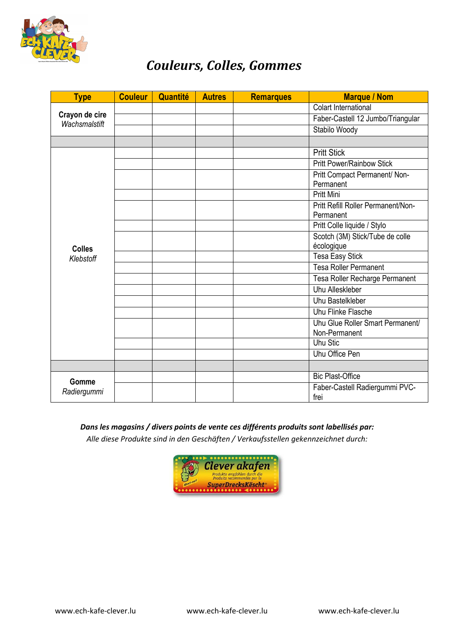

### *Couleurs, Colles, Gommes*

| <b>Type</b>                     | <b>Couleur</b> | Quantité | <b>Autres</b> | <b>Remarques</b> | <b>Marque / Nom</b>                               |
|---------------------------------|----------------|----------|---------------|------------------|---------------------------------------------------|
| Crayon de cire<br>Wachsmalstift |                |          |               |                  | <b>Colart International</b>                       |
|                                 |                |          |               |                  | Faber-Castell 12 Jumbo/Triangular                 |
|                                 |                |          |               |                  | Stabilo Woody                                     |
|                                 |                |          |               |                  |                                                   |
|                                 |                |          |               |                  | <b>Pritt Stick</b>                                |
| <b>Colles</b>                   |                |          |               |                  | <b>Pritt Power/Rainbow Stick</b>                  |
|                                 |                |          |               |                  | Pritt Compact Permanent/ Non-<br>Permanent        |
|                                 |                |          |               |                  | <b>Pritt Mini</b>                                 |
|                                 |                |          |               |                  | Pritt Refill Roller Permanent/Non-<br>Permanent   |
|                                 |                |          |               |                  | Pritt Colle liquide / Stylo                       |
|                                 |                |          |               |                  | Scotch (3M) Stick/Tube de colle<br>écologique     |
| Klebstoff                       |                |          |               |                  | <b>Tesa Easy Stick</b>                            |
|                                 |                |          |               |                  | Tesa Roller Permanent                             |
|                                 |                |          |               |                  | Tesa Roller Recharge Permanent                    |
|                                 |                |          |               |                  | <b>Uhu Alleskleber</b>                            |
|                                 |                |          |               |                  | Uhu Bastelkleber                                  |
|                                 |                |          |               |                  | Uhu Flinke Flasche                                |
|                                 |                |          |               |                  | Uhu Glue Roller Smart Permanent/<br>Non-Permanent |
|                                 |                |          |               |                  | <b>Uhu Stic</b>                                   |
|                                 |                |          |               |                  | Uhu Office Pen                                    |
|                                 |                |          |               |                  |                                                   |
| Gomme                           |                |          |               |                  | <b>Bic Plast-Office</b>                           |
| Radiergummi                     |                |          |               |                  | Faber-Castell Radiergummi PVC-<br>frei            |

#### *Dans les magasins / divers points de vente ces différents produits sont labellisés par:*

*Alle diese Produkte sind in den Geschäften / Verkaufsstellen gekennzeichnet durch:*